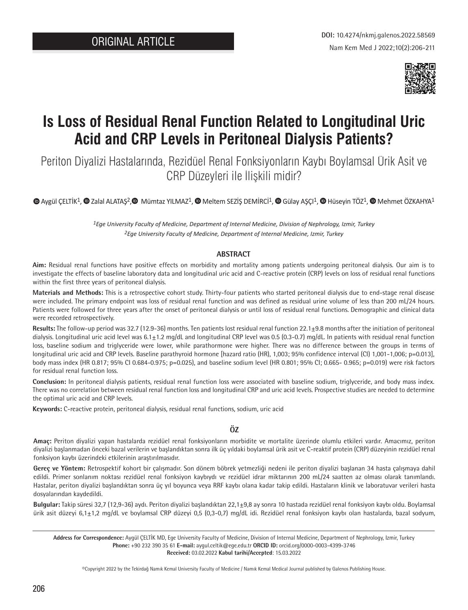

# **Is Loss of Residual Renal Function Related to Longitudinal Uric Acid and CRP Levels in Peritoneal Dialysis Patients?**

Periton Diyalizi Hastalarında, Rezidüel Renal Fonksiyonların Kaybı Boylamsal Ürik Asit ve CRP Düzeyleri ile İlişkili midir?

 $\bullet$ Aygül CELTİK<sup>1</sup>[,](https://orcid.org/0000-0002-8585-0770)  $\bullet$  Zalal ALATAS<sup>2</sup>,  $\bullet$  Mümtaz YILMAZ<sup>1</sup>,  $\bullet$  Meltem SEZİS DEMİRCİ<sup>1</sup>,  $\bullet$  Gülay ASCI<sup>1</sup>,  $\bullet$  Hüseyin TÖZ<sup>1</sup>,  $\bullet$  Mehmet ÖZKAHYA<sup>1</sup>

*1Ege University Faculty of Medicine, Department of Internal Medicine, Division of Nephrology, Izmir, Turkey 2Ege University Faculty of Medicine, Department of Internal Medicine, Izmir, Turkey*

#### **ABSTRACT**

**Aim:** Residual renal functions have positive effects on morbidity and mortality among patients undergoing peritoneal dialysis. Our aim is to investigate the effects of baseline laboratory data and longitudinal uric acid and C-reactive protein (CRP) levels on loss of residual renal functions within the first three years of peritoneal dialysis.

**Materials and Methods:** This is a retrospective cohort study. Thirty-four patients who started peritoneal dialysis due to end-stage renal disease were included. The primary endpoint was loss of residual renal function and was defined as residual urine volume of less than 200 mL/24 hours. Patients were followed for three years after the onset of peritoneal dialysis or until loss of residual renal functions. Demographic and clinical data were recorded retrospectively.

**Results:** The follow-up period was 32.7 (12.9-36) months. Ten patients lost residual renal function 22.1±9.8 months after the initiation of peritoneal dialysis. Longitudinal uric acid level was  $6.1\pm1.2$  mg/dL and longitudinal CRP level was 0.5 (0.3-0.7) mg/dL. In patients with residual renal function loss, baseline sodium and triglyceride were lower, while parathormone were higher. There was no difference between the groups in terms of longitudinal uric acid and CRP levels. Baseline parathyroid hormone [hazard ratio (HR), 1,003; 95% confidence interval (CI) 1,001-1,006; p=0.013], body mass index (HR 0.817; 95% CI 0.684-0.975; p=0.025), and baseline sodium level (HR 0.801; 95% CI; 0.665- 0.965; p=0.019) were risk factors for residual renal function loss.

**Conclusion:** In peritoneal dialysis patients, residual renal function loss were associated with baseline sodium, triglyceride, and body mass index. There was no correlation between residual renal function loss and longitudinal CRP and uric acid levels. Prospective studies are needed to determine the optimal uric acid and CRP levels.

**Keywords:** C-reactive protein, peritoneal dialysis, residual renal functions, sodium, uric acid

**ÖZ**

**Amaç:** Periton diyalizi yapan hastalarda rezidüel renal fonksiyonların morbidite ve mortalite üzerinde olumlu etkileri vardır. Amacımız, periton diyalizi başlanmadan önceki bazal verilerin ve başlandıktan sonra ilk üç yıldaki boylamsal ürik asit ve C-reaktif protein (CRP) düzeyinin rezidüel renal fonksiyon kaybı üzerindeki etkilerinin araştırılmasıdır.

**Gereç ve Yöntem:** Retrospektif kohort bir çalışmadır. Son dönem böbrek yetmezliği nedeni ile periton diyalizi başlanan 34 hasta çalışmaya dahil edildi. Primer sonlanım noktası rezidüel renal fonksiyon kaybıydı ve rezidüel idrar miktarının 200 mL/24 saatten az olması olarak tanımlandı. Hastalar, periton diyalizi başlandıktan sonra üç yıl boyunca veya RRF kaybı olana kadar takip edildi. Hastaların klinik ve laboratuvar verileri hasta dosyalarından kaydedildi.

**Bulgular:** Takip süresi 32,7 (12,9-36) aydı. Periton diyalizi başlandıktan 22,1±9,8 ay sonra 10 hastada rezidüel renal fonksiyon kaybı oldu. Boylamsal ürik asit düzeyi 6,1±1,2 mg/dL ve boylamsal CRP düzeyi 0,5 (0,3-0,7) mg/dL idi. Rezidüel renal fonksiyon kaybı olan hastalarda, bazal sodyum,

©Copyright 2022 by the Tekirdağ Namık Kemal University Faculty of Medicine / Namık Kemal Medical Journal published by Galenos Publishing House.

**Address for Correspondence:** Aygül ÇELTİK MD, Ege University Faculty of Medicine, Division of Internal Medicine, Department of Nephrology, Izmir, Turkey **Phone:** +90 232 390 35 61 **E-mail:** aygul.celtik@ege.edu.tr **ORCID ID:** orcid.org/0000-0003-4399-3746 **Received:** 03.02.2022 **Kabul tarihi/Accepted**: 15.03.2022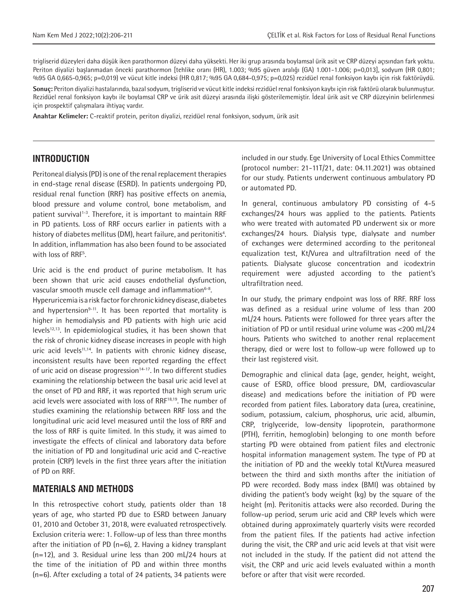trigliserid düzeyleri daha düşük iken parathormon düzeyi daha yüksekti. Her iki grup arasında boylamsal ürik asit ve CRP düzeyi açısından fark yoktu. Periton diyalizi başlanmadan önceki parathormon [tehlike oranı (HR), 1.003; %95 güven aralığı (GA) 1.001-1.006; p=0,013], sodyum (HR 0,801; %95 GA 0,665-0,965; p=0,019) ve vücut kitle indeksi (HR 0,817; %95 GA 0,684-0,975; p=0,025) rezidüel renal fonksiyon kaybı için risk faktörüydü. **Sonuç:** Periton diyalizi hastalarında, bazal sodyum, trigliserid ve vücut kitle indeksi rezidüel renal fonksiyon kaybı için risk faktörü olarak bulunmuştur. Rezidüel renal fonksiyon kaybı ile boylamsal CRP ve ürik asit düzeyi arasında ilişki gösterilememiştir. İdeal ürik asit ve CRP düzeyinin belirlenmesi için prospektif çalışmalara ihtiyaç vardır.

**Anahtar Kelimeler:** C-reaktif protein, periton diyalizi, rezidüel renal fonksiyon, sodyum, ürik asit

#### **INTRODUCTION**

Peritoneal dialysis (PD) is one of the renal replacement therapies in end-stage renal disease (ESRD). In patients undergoing PD, residual renal function (RRF) has positive effects on anemia, blood pressure and volume control, bone metabolism, and patient survival<sup>1-3</sup>. Therefore, it is important to maintain RRF in PD patients. Loss of RRF occurs earlier in patients with a history of diabetes mellitus (DM), heart failure, and peritonitis<sup>4</sup>. In addition, inflammation has also been found to be associated with loss of RRF<sup>5</sup>.

Uric acid is the end product of purine metabolism. It has been shown that uric acid causes endothelial dysfunction, vascular smooth muscle cell damage and inflammation<sup>6-8</sup>.

Hyperuricemia is a risk factor for chronic kidney disease, diabetes and hypertension<sup>9-11</sup>. It has been reported that mortality is higher in hemodialysis and PD patients with high uric acid levels<sup>12,13</sup>. In epidemiological studies, it has been shown that the risk of chronic kidney disease increases in people with high uric acid levels<sup>11,14</sup>. In patients with chronic kidney disease, inconsistent results have been reported regarding the effect of uric acid on disease progression<sup>14-17</sup>. In two different studies examining the relationship between the basal uric acid level at the onset of PD and RRF, it was reported that high serum uric acid levels were associated with loss of RRF<sup>18,19</sup>. The number of studies examining the relationship between RRF loss and the longitudinal uric acid level measured until the loss of RRF and the loss of RRF is quite limited. In this study, it was aimed to investigate the effects of clinical and laboratory data before the initiation of PD and longitudinal uric acid and C-reactive protein (CRP) levels in the first three years after the initiation of PD on RRF.

#### **MATERIALS AND METHODS**

In this retrospective cohort study, patients older than 18 years of age, who started PD due to ESRD between January 01, 2010 and October 31, 2018, were evaluated retrospectively. Exclusion criteria were: 1. Follow-up of less than three months after the initiation of PD ( $n=6$ ), 2. Having a kidney transplant (n=12), and 3. Residual urine less than 200 mL/24 hours at the time of the initiation of PD and within three months (n=6). After excluding a total of 24 patients, 34 patients were included in our study. Ege University of Local Ethics Committee (protocol number: 21-11T/21, date: 04.11.2021) was obtained for our study. Patients underwent continuous ambulatory PD or automated PD.

In general, continuous ambulatory PD consisting of 4-5 exchanges/24 hours was applied to the patients. Patients who were treated with automated PD underwent six or more exchanges/24 hours. Dialysis type, dialysate and number of exchanges were determined according to the peritoneal equalization test, Kt/Vurea and ultrafiltration need of the patients. Dialysate glucose concentration and icodextrin requirement were adjusted according to the patient's ultrafiltration need.

In our study, the primary endpoint was loss of RRF. RRF loss was defined as a residual urine volume of less than 200 mL/24 hours. Patients were followed for three years after the initiation of PD or until residual urine volume was <200 mL/24 hours. Patients who switched to another renal replacement therapy, died or were lost to follow-up were followed up to their last registered visit.

Demographic and clinical data (age, gender, height, weight, cause of ESRD, office blood pressure, DM, cardiovascular disease) and medications before the initiation of PD were recorded from patient files. Laboratory data (urea, creatinine, sodium, potassium, calcium, phosphorus, uric acid, albumin, CRP, triglyceride, low-density lipoprotein, parathormone (PTH), ferritin, hemoglobin) belonging to one month before starting PD were obtained from patient files and electronic hospital information management system. The type of PD at the initiation of PD and the weekly total Kt/Vurea measured between the third and sixth months after the initiation of PD were recorded. Body mass index (BMI) was obtained by dividing the patient's body weight (kg) by the square of the height (m). Peritonitis attacks were also recorded. During the follow-up period, serum uric acid and CRP levels which were obtained during approximately quarterly visits were recorded from the patient files. If the patients had active infection during the visit, the CRP and uric acid levels at that visit were not included in the study. If the patient did not attend the visit, the CRP and uric acid levels evaluated within a month before or after that visit were recorded.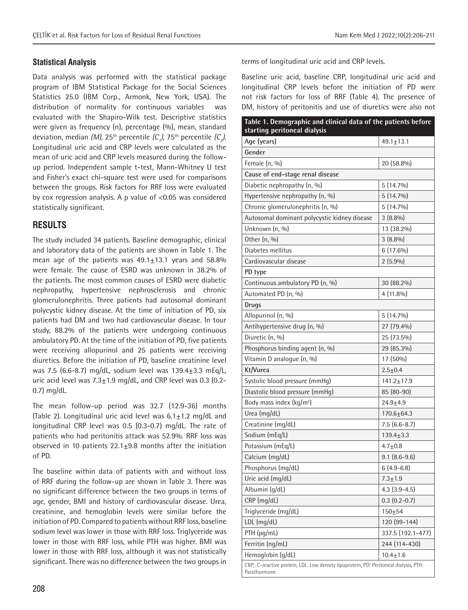Data analysis was performed with the statistical package program of IBM Statistical Package for the Social Sciences Statistics 25.0 (IBM Corp., Armonk, New York, USA). The distribution of normality for continuous variables was evaluated with the Shapiro-Wilk test. Descriptive statistics were given as frequency (n), percentage (%), mean, standard deviation, median *(M)*, 25<sup>th</sup> percentile *(C<sub>1</sub>)*, 75<sup>th</sup> percentile *(C<sub>3</sub>)*. Longitudinal uric acid and CRP levels were calculated as the mean of uric acid and CRP levels measured during the followup period. Independent sample t-test, Mann-Whitney U test and Fisher's exact chi-square test were used for comparisons between the groups. Risk factors for RRF loss were evaluated by cox regression analysis. A p value of <0.05 was considered statistically significant.

## **RESULTS**

The study included 34 patients. Baseline demographic, clinical and laboratory data of the patients are shown in Table 1. The mean age of the patients was  $49.1 \pm 13.1$  years and 58.8% were female. The cause of ESRD was unknown in 38.2% of the patients. The most common causes of ESRD were diabetic nephropathy, hypertensive nephrosclerosis and chronic glomerulonephritis. Three patients had autosomal dominant polycystic kidney disease. At the time of initiation of PD, six patients had DM and two had cardiovascular disease. In tour study, 88.2% of the patients were undergoing continuous ambulatory PD. At the time of the initiation of PD, five patients were receiving allopurinol and 25 patients were receiving diuretics. Before the initiation of PD, baseline creatinine level was 7.5 (6.6-8.7) mg/dL, sodium level was  $139.4 \pm 3.3$  mEg/L, uric acid level was  $7.3 \pm 1.9$  mg/dL, and CRP level was 0.3 (0.2-0.7) mg/dL.

The mean follow-up period was 32.7 (12.9-36) months (Table 2). Longitudinal uric acid level was  $6.1 \pm 1.2$  mg/dL and longitudinal CRP level was 0.5 (0.3-0.7) mg/dL. The rate of patients who had peritonitis attack was 52.9%. RRF loss was observed in 10 patients  $22.1 \pm 9.8$  months after the initiation of PD.

The baseline within data of patients with and without loss of RRF during the follow-up are shown in Table 3. There was no significant difference between the two groups in terms of age, gender, BMI and history of cardiovascular disease. Urea, creatinine, and hemoglobin levels were similar before the initiation of PD. Compared to patients without RRF loss, baseline sodium level was lower in those with RRF loss. Triglyceride was lower in those with RRF loss, while PTH was higher. BMI was lower in those with RRF loss, although it was not statistically significant. There was no difference between the two groups in

terms of longitudinal uric acid and CRP levels.

Baseline uric acid, baseline CRP, longitudinal uric acid and longitudinal CRP levels before the initiation of PD were not risk factors for loss of RRF (Table 4). The presence of DM, history of peritonitis and use of diuretics were also not

| Table 1. Demographic and clinical data of the patients before<br>starting peritoneal dialysis         |                   |  |  |  |
|-------------------------------------------------------------------------------------------------------|-------------------|--|--|--|
| Age (years)                                                                                           | $49.1 \pm 13.1$   |  |  |  |
| Gender                                                                                                |                   |  |  |  |
| Female $(n, 0/0)$                                                                                     | 20 (58.8%)        |  |  |  |
| Cause of end-stage renal disease                                                                      |                   |  |  |  |
| Diabetic nephropathy (n, %)                                                                           | $5(14.7\%)$       |  |  |  |
| Hypertensive nephropathy (n, %)                                                                       | $5(14.7\%)$       |  |  |  |
| Chronic glomerulonephritis (n, %)                                                                     | $5(14.7\%)$       |  |  |  |
| Autosomal dominant polycystic kidney disease                                                          | $3(8.8\%)$        |  |  |  |
| Unknown (n, %)                                                                                        | 13 (38.2%)        |  |  |  |
| Other (n, %)                                                                                          | $3(8.8\%)$        |  |  |  |
| Diabetes mellitus                                                                                     | $6(17.6\%)$       |  |  |  |
| Cardiovascular disease                                                                                | $2(5.9\%)$        |  |  |  |
| PD type                                                                                               |                   |  |  |  |
| Continuous ambulatory PD (n, %)                                                                       | 30 (88.2%)        |  |  |  |
| Automated PD (n, %)                                                                                   | $4(11.8\%)$       |  |  |  |
| <b>Drugs</b>                                                                                          |                   |  |  |  |
| Allopurinol (n, %)                                                                                    | $5(14.7\%)$       |  |  |  |
| Antihypertensive drug (n, %)                                                                          | 27 (79.4%)        |  |  |  |
| Diuretic (n, %)                                                                                       | 25 (73.5%)        |  |  |  |
| Phosphorus binding agent (n, %)                                                                       | 29 (85.3%)        |  |  |  |
| Vitamin D analogue (n, %)                                                                             | 17 (50%)          |  |  |  |
| Kt/Vurea                                                                                              | $2.5 + 0.4$       |  |  |  |
| Systolic blood pressure (mmHg)                                                                        | $141.2 \pm 17.9$  |  |  |  |
| Diastolic blood pressure (mmHg)                                                                       | 85 (80-90)        |  |  |  |
| Body mass index (kg/m <sup>2</sup> )                                                                  | $24.9 + 4.9$      |  |  |  |
| Urea (mg/dL)                                                                                          | $170.6 + 64.3$    |  |  |  |
| Creatinine (mg/dL)                                                                                    | $7.5(6.6-8.7)$    |  |  |  |
| Sodium (mEq/L)                                                                                        | $139.4 \pm 3.3$   |  |  |  |
| Potassium (mEq/L)                                                                                     | $4.7 + 0.8$       |  |  |  |
| Calcium (mg/dL)                                                                                       | $9.1 (8.6 - 9.6)$ |  |  |  |
| Phosphorus (mg/dL)                                                                                    | $6(4.9-6.8)$      |  |  |  |
| Uric acid (mg/dL)                                                                                     | $7.3 + 1.9$       |  |  |  |
| Albumin (g/dL)                                                                                        | $4.3$ $(3.9-4.5)$ |  |  |  |
| CRP (mg/dL)                                                                                           | $0.3(0.2-0.7)$    |  |  |  |
| Triglyceride (mg/dL)                                                                                  | $150 + 54$        |  |  |  |
| $LDL$ (mg/dL)                                                                                         | 120 (99-144)      |  |  |  |
| PTH (pg/mL)                                                                                           | 337.5 (192.1-477) |  |  |  |
| Ferritin (ng/mL)                                                                                      | 244 (114-430)     |  |  |  |
| Hemoglobin (g/dL)                                                                                     | $10.4 + 1.6$      |  |  |  |
| CRP,: C-reactive protein, LDL: Low density lipoprotein, PD: Peritoneal dialysis, PTH:<br>Parathormone |                   |  |  |  |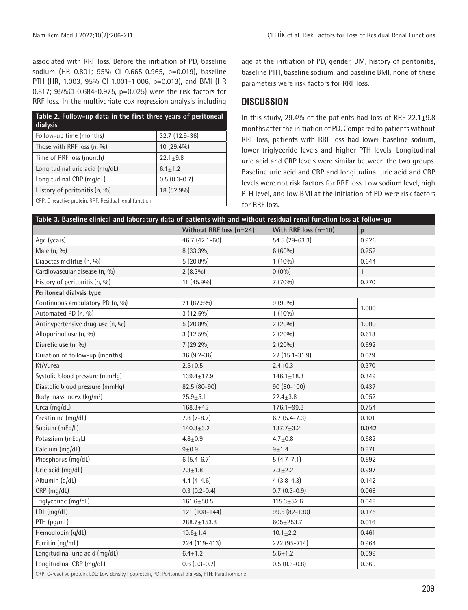associated with RRF loss. Before the initiation of PD, baseline sodium (HR 0.801; 95% CI 0.665-0.965, p=0.019), baseline PTH (HR, 1.003, 95% CI 1.001-1.006, p=0.013), and BMI (HR 0.817; 95%CI 0.684-0.975, p=0.025) were the risk factors for RRF loss. In the multivariate cox regression analysis including

| Table 2. Follow-up data in the first three years of peritoneal<br>dialysis |                 |
|----------------------------------------------------------------------------|-----------------|
| Follow-up time (months)                                                    | $32.7(12.9-36)$ |
| Those with RRF loss (n, %)                                                 | 10 (29.4%)      |
| Time of RRF loss (month)                                                   | $22.1 + 9.8$    |
| Longitudinal uric acid (mg/dL)                                             | $6.1 \pm 1.2$   |
| Longitudinal CRP (mg/dL)                                                   | $0.5(0.3-0.7)$  |
| History of peritonitis (n, %)                                              | 18 (52.9%)      |
| CRP: C-reactive protein, RRF: Residual renal function                      |                 |

age at the initiation of PD, gender, DM, history of peritonitis, baseline PTH, baseline sodium, and baseline BMI, none of these parameters were risk factors for RRF loss.

### **DISCUSSION**

In this study, 29.4% of the patients had loss of RRF  $22.1 \pm 9.8$ months after the initiation of PD. Compared to patients without RRF loss, patients with RRF loss had lower baseline sodium, lower triglyceride levels and higher PTH levels. Longitudinal uric acid and CRP levels were similar between the two groups. Baseline uric acid and CRP and longitudinal uric acid and CRP levels were not risk factors for RRF loss. Low sodium level, high PTH level, and low BMI at the initiation of PD were risk factors for RRF loss.

| Table 3. Baseline clinical and laboratory data of patients with and without residual renal function loss at follow-up |                         |                        |              |  |  |
|-----------------------------------------------------------------------------------------------------------------------|-------------------------|------------------------|--------------|--|--|
|                                                                                                                       | Without RRF loss (n=24) | With RRF loss $(n=10)$ | $\mathbf{p}$ |  |  |
| Age (years)                                                                                                           | 46.7 (42.1-60)          | 54.5 (29-63.3)         | 0.926        |  |  |
| Male (n, %)                                                                                                           | 8 (33.3%)               | $6(60\%)$              | 0.252        |  |  |
| Diabetes mellitus (n, %)                                                                                              | $5(20.8\%)$             | $1(10\%)$              | 0.644        |  |  |
| Cardiovascular disease (n, %)                                                                                         | $2(8.3\%)$              | $0(0\%)$               | $\mathbf{1}$ |  |  |
| History of peritonitis (n, %)                                                                                         | 11 (45.9%)              | 7(70%)                 | 0.270        |  |  |
| Peritoneal dialysis type                                                                                              |                         |                        |              |  |  |
| Continuous ambulatory PD (n, %)                                                                                       | 21 (87.5%)              | $9(90\%)$              |              |  |  |
| Automated PD (n, %)                                                                                                   | $3(12.5\%)$             | $1(10\%)$              | 1.000        |  |  |
| Antihypertensive drug use (n, %)                                                                                      | $5(20.8\%)$             | 2(20%)                 | 1.000        |  |  |
| Allopurinol use (n, %)                                                                                                | $3(12.5\%)$             | 2(20%)                 | 0.618        |  |  |
| Diuretic use (n, %)                                                                                                   | 7 (29.2%)               | 2(20%)                 | 0.692        |  |  |
| Duration of follow-up (months)                                                                                        | 36 (9.2-36)             | 22 (15.1-31.9)         | 0.079        |  |  |
| Kt/Vurea                                                                                                              | $2.5 + 0.5$             | $2.4 \pm 0.3$          | 0.370        |  |  |
| Systolic blood pressure (mmHq)                                                                                        | $139.4 \pm 17.9$        | $146.1 \pm 18.3$       | 0.349        |  |  |
| Diastolic blood pressure (mmHq)                                                                                       | 82.5 (80-90)            | 90 (80-100)            | 0.437        |  |  |
| Body mass index (kg/m <sup>2</sup> )                                                                                  | $25.9 + 5.1$            | $22.4 \pm 3.8$         | 0.052        |  |  |
| Urea (mg/dL)                                                                                                          | $168.3 + 45$            | $176.1 + 99.8$         | 0.754        |  |  |
| Creatinine (mg/dL)                                                                                                    | $7.8(7 - 8.7)$          | $6.7(5.4-7.3)$         | 0.101        |  |  |
| Sodium (mEq/L)                                                                                                        | $140.3 \pm 3.2$         | $137.7 + 3.2$          | 0.042        |  |  |
| Potassium (mEq/L)                                                                                                     | $4.8 + 0.9$             | $4.7 + 0.8$            | 0.682        |  |  |
| Calcium (mg/dL)                                                                                                       | $9 + 0.9$               | $9 + 1.4$              | 0.871        |  |  |
| Phosphorus (mg/dL)                                                                                                    | $6(5.4 - 6.7)$          | $5(4.7 - 7.1)$         | 0.592        |  |  |
| Uric acid (mg/dL)                                                                                                     | $7.3 + 1.8$             | $7.3 + 2.2$            | 0.997        |  |  |
| Albumin (g/dL)                                                                                                        | $4.4(4-4.6)$            | $4(3.8-4.3)$           | 0.142        |  |  |
| CRP (mg/dL)                                                                                                           | $0.3(0.2-0.4)$          | $0.7(0.3-0.9)$         | 0.068        |  |  |
| Triglyceride (mg/dL)                                                                                                  | $161.6 \pm 50.5$        | $115.3 \pm 52.6$       | 0.048        |  |  |
| LDL (mg/dL)                                                                                                           | 121 (108-144)           | 99.5 (82-130)          | 0.175        |  |  |
| PTH (pg/mL)                                                                                                           | $288.7 \pm 153.8$       | $605 \pm 253.7$        | 0.016        |  |  |
| Hemoglobin (g/dL)                                                                                                     | $10.6 + 1.4$            | $10.1 \pm 2.2$         | 0.461        |  |  |
| Ferritin (ng/mL)                                                                                                      | 224 (119-413)           | 222 (95-714)           | 0.964        |  |  |
| Longitudinal uric acid (mg/dL)                                                                                        | $6.4 \pm 1.2$           | $5.6 + 1.2$            | 0.099        |  |  |
| Longitudinal CRP (mg/dL)                                                                                              | $0.6(0.3-0.7)$          | $0.5(0.3-0.8)$         | 0.669        |  |  |
| CRP: C-reactive protein, LDL: Low density lipoprotein, PD: Peritoneal dialysis, PTH: Parathormone                     |                         |                        |              |  |  |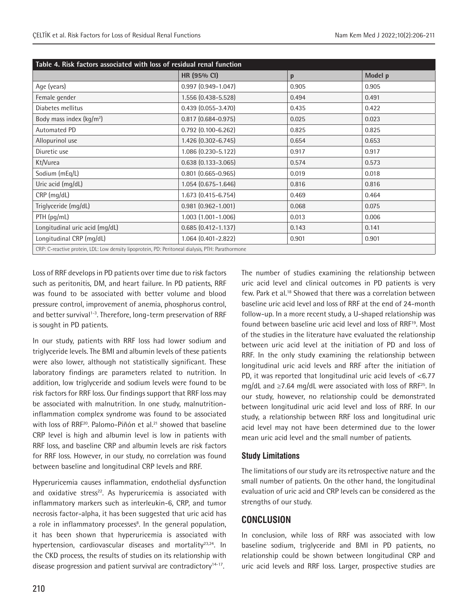| Table 4. Risk factors associated with loss of residual renal function                             |                           |       |         |  |  |
|---------------------------------------------------------------------------------------------------|---------------------------|-------|---------|--|--|
|                                                                                                   | HR (95% CI)               | p     | Model p |  |  |
| Age (years)                                                                                       | $0.997$ $(0.949 - 1.047)$ | 0.905 | 0.905   |  |  |
| Female gender                                                                                     | 1.556 (0.438-5.528)       | 0.494 | 0.491   |  |  |
| Diabetes mellitus                                                                                 | $0.439(0.055 - 3.470)$    | 0.435 | 0.422   |  |  |
| Body mass index $(kq/m^2)$                                                                        | $0.817$ $(0.684 - 0.975)$ | 0.025 | 0.023   |  |  |
| Automated PD                                                                                      | $0.792$ $(0.100 - 6.262)$ | 0.825 | 0.825   |  |  |
| Allopurinol use                                                                                   | 1.426 (0.302-6.745)       | 0.654 | 0.653   |  |  |
| Diuretic use                                                                                      | 1.086 (0.230-5.122)       | 0.917 | 0.917   |  |  |
| Kt/Vurea                                                                                          | $0.638(0.133 - 3.065)$    | 0.574 | 0.573   |  |  |
| Sodium (mEq/L)                                                                                    | $0.801$ $(0.665 - 0.965)$ | 0.019 | 0.018   |  |  |
| Uric acid (mg/dL)                                                                                 | $1.054$ (0.675-1.646)     | 0.816 | 0.816   |  |  |
| CRP (mg/dL)                                                                                       | 1.673 (0.415-6.754)       | 0.469 | 0.464   |  |  |
| Triglyceride (mg/dL)                                                                              | $0.981$ $(0.962 - 1.001)$ | 0.068 | 0.075   |  |  |
| PTH (pg/mL)                                                                                       | $1.003$ $(1.001 - 1.006)$ | 0.013 | 0.006   |  |  |
| Longitudinal uric acid (mg/dL)                                                                    | $0.685$ $(0.412 - 1.137)$ | 0.143 | 0.141   |  |  |
| Longitudinal CRP (mg/dL)                                                                          | $1.064$ (0.401-2.822)     | 0.901 | 0.901   |  |  |
| CRP: C-reactive protein, LDL: Low density lipoprotein, PD: Peritoneal dialysis, PTH: Parathormone |                           |       |         |  |  |

Loss of RRF develops in PD patients over time due to risk factors such as peritonitis, DM, and heart failure. In PD patients, RRF was found to be associated with better volume and blood pressure control, improvement of anemia, phosphorus control, and better survival<sup>1-3</sup>. Therefore, long-term preservation of RRF is sought in PD patients.

In our study, patients with RRF loss had lower sodium and triglyceride levels. The BMI and albumin levels of these patients were also lower, although not statistically significant. These laboratory findings are parameters related to nutrition. In addition, low triglyceride and sodium levels were found to be risk factors for RRF loss. Our findings support that RRF loss may be associated with malnutrition. In one study, malnutritioninflammation complex syndrome was found to be associated with loss of RRF<sup>20</sup>. Palomo-Piñón et al.<sup>21</sup> showed that baseline CRP level is high and albumin level is low in patients with RRF loss, and baseline CRP and albumin levels are risk factors for RRF loss. However, in our study, no correlation was found between baseline and longitudinal CRP levels and RRF.

Hyperuricemia causes inflammation, endothelial dysfunction and oxidative stress<sup>22</sup>. As hyperuricemia is associated with inflammatory markers such as interleukin-6, CRP, and tumor necrosis factor-alpha, it has been suggested that uric acid has a role in inflammatory processes<sup>8</sup>. In the general population, it has been shown that hyperuricemia is associated with hypertension, cardiovascular diseases and mortality<sup>23,24</sup>. In the CKD process, the results of studies on its relationship with disease progression and patient survival are contradictory<sup>14-17</sup>.

The number of studies examining the relationship between uric acid level and clinical outcomes in PD patients is very few. Park et al.18 Showed that there was a correlation between baseline uric acid level and loss of RRF at the end of 24-month follow-up. In a more recent study, a U-shaped relationship was found between baseline uric acid level and loss of RRF<sup>19</sup>. Most of the studies in the literature have evaluated the relationship between uric acid level at the initiation of PD and loss of RRF. In the only study examining the relationship between longitudinal uric acid levels and RRF after the initiation of PD, it was reported that longitudinal uric acid levels of <6.77 mg/dL and  $\geq$ 7.64 mg/dL were associated with loss of RRF<sup>25</sup>. In our study, however, no relationship could be demonstrated between longitudinal uric acid level and loss of RRF. In our study, a relationship between RRF loss and longitudinal uric acid level may not have been determined due to the lower mean uric acid level and the small number of patients.

## **Study Limitations**

The limitations of our study are its retrospective nature and the small number of patients. On the other hand, the longitudinal evaluation of uric acid and CRP levels can be considered as the strengths of our study.

## **CONCLUSION**

In conclusion, while loss of RRF was associated with low baseline sodium, triglyceride and BMI in PD patients, no relationship could be shown between longitudinal CRP and uric acid levels and RRF loss. Larger, prospective studies are